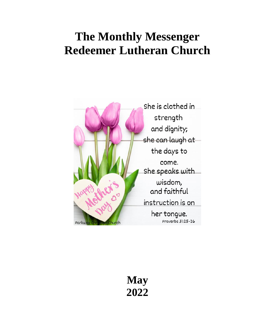## **The Monthly Messenger Redeemer Lutheran Church**



**May 2022**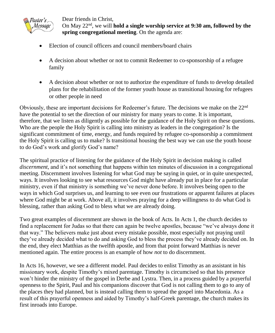

Dear friends in Christ, On May 22nd, we will **hold a single worship service at 9:30 am, followed by the spring congregational meeting**. On the agenda are:

- Election of council officers and council members/board chairs
- A decision about whether or not to commit Redeemer to co-sponsorship of a refugee family
- A decision about whether or not to authorize the expenditure of funds to develop detailed plans for the rehabilitation of the former youth house as transitional housing for refugees or other people in need

Obviously, these are important decisions for Redeemer's future. The decisions we make on the 22nd have the potential to set the direction of our ministry for many years to come. It is important, therefore, that we listen as diligently as possible for the guidance of the Holy Spirit on these questions. Who are the people the Holy Spirit is calling into ministry as leaders in the congregation? Is the significant commitment of time, energy, and funds required by refugee co-sponsorship a commitment the Holy Spirit is calling us to make? Is transitional housing the best way we can use the youth house to do God's work and glorify God's name?

The spiritual practice of listening for the guidance of the Holy Spirit in decision making is called *discernment*, and it's not something that happens within ten minutes of discussion in a congregational meeting. Discernment involves listening for what God may be saying in quiet, or in quite unexpected, ways. It involves looking to see what resources God might have already put in place for a particular ministry, even if that ministry is something we've never done before. It involves being open to the ways in which God surprises us, and learning to see even our frustrations or apparent failures at places where God might be at work. Above all, it involves praying for a deep willingness to do what God is blessing, rather than asking God to bless what we are already doing.

Two great examples of discernment are shown in the book of Acts. In Acts 1, the church decides to find a replacement for Judas so that there can again be twelve apostles, because "we've always done it that way." The believers make just about every mistake possible, most especially not praying until they've already decided what to do and asking God to bless the process they've already decided on. In the end, they elect Matthias as the twelfth apostle, and from that point forward Matthias is never mentioned again. The entire process is an example of how *not* to do discernment.

In Acts 16, however, we see a different model. Paul decides to enlist Timothy as an assistant in his missionary work, despite Timothy's mixed parentage. Timothy is circumcised so that his presence won't hinder the ministry of the gospel in Derbe and Lystra. Then, in a process guided by a prayerful openness to the Spirit, Paul and his companions discover that God is not calling them to go to any of the places they had planned, but is instead calling them to spread the gospel into Macedonia. As a result of this prayerful openness and aided by Timothy's half-Greek parentage, the church makes its first inroads into Europe.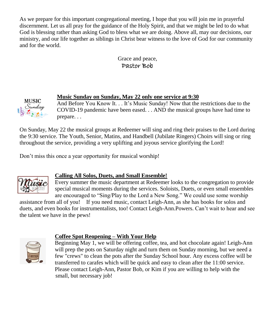As we prepare for this important congregational meeting, I hope that you will join me in prayerful discernment. Let us all pray for the guidance of the Holy Spirit, and that we might be led to do what God is blessing rather than asking God to bless what we are doing. Above all, may our decisions, our ministry, and our life together as siblings in Christ bear witness to the love of God for our community and for the world.

### Grace and peace, Pastor Bob

### **Music Sunday on Sunday, May 22 only one service at 9:30**

And Before You Know It. . . It's Music Sunday! Now that the restrictions due to the COVID-19 pandemic have been eased. . . AND the musical groups have had time to prepare. . .

On Sunday, May 22 the musical groups at Redeemer will sing and ring their praises to the Lord during the 9:30 service. The Youth, Senior, Matins, and Handbell (Jubilate Ringers) Choirs will sing or ring throughout the service, providing a very uplifting and joyous service glorifying the Lord!

Don't miss this once a year opportunity for musical worship!



**MUSIC** Sunday

### **Calling All Solos, Duets, and Small Ensemble!**

Every summer the music department at Redeemer looks to the congregation to provide special musical moments during the services. Soloists, Duets, or even small ensembles are encouraged to "Sing/Play to the Lord a New Song." We could use some worship

assistance from all of you! If you need music, contact Leigh-Ann, as she has books for solos and duets, and even books for instrumentalists, too! Contact Leigh-Ann.Powers. Can't wait to hear and see the talent we have in the pews!



### **Coffee Spot Reopening – With Your Help**

Beginning May 1, we will be offering coffee, tea, and hot chocolate again! Leigh-Ann will prep the pots on Saturday night and turn them on Sunday morning, but we need a few "crews" to clean the pots after the Sunday School hour. Any excess coffee will be transferred to carafes which will be quick and easy to clean after the 11:00 service. Please contact Leigh-Ann, Pastor Bob, or Kim if you are willing to help with the small, but necessary job!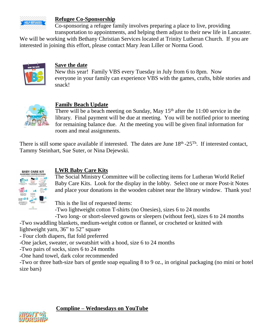

#### **Refugee Co-Sponsorship**

Co-sponsoring a refugee family involves preparing a place to live, providing transportation to appointments, and helping them adjust to their new life in Lancaster.

We will be working with Bethany Christian Services located at Trinity Lutheran Church. If you are interested in joining this effort, please contact Mary Jean Liller or Norma Good.



### **Save the date**

New this year! Family VBS every Tuesday in July from 6 to 8pm. Now everyone in your family can experience VBS with the games, crafts, bible stories and snack!



### **Family Beach Update**

There will be a beach meeting on Sunday, May  $15<sup>th</sup>$  after the 11:00 service in the library. Final payment will be due at meeting. You will be notified prior to meeting for remaining balance due. At the meeting you will be given final information for room and meal assignments.

There is still some space available if interested. The dates are June  $18<sup>th</sup> - 25<sup>Th</sup>$ . If interested contact, Tammy Steinhart, Sue Suter, or Nina Dejewski.



### **LWR Baby Care Kits**

The Social Ministry Committee will be collecting items for Lutheran World Relief Baby Care Kits. Look for the display in the lobby. Select one or more Post-it Notes and place your donations in the wooden cabinet near the library window. Thank you!

This is the list of requested items:

-Two lightweight cotton T-shirts (no Onesies), sizes 6 to 24 months

-Two long- or short-sleeved gowns or sleepers (without feet), sizes 6 to 24 months

-Two swaddling blankets, medium-weight cotton or flannel, or crocheted or knitted with

lightweight yarn, 36" to 52" square

- Four cloth diapers, flat fold preferred

-One jacket, sweater, or sweatshirt with a hood, size 6 to 24 months

-Two pairs of socks, sizes 6 to 24 months

-One hand towel, dark color recommended

-Two or three bath-size bars of gentle soap equaling 8 to 9 oz., in original packaging (no mini or hotel size bars)



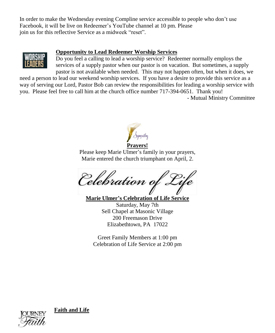In order to make the Wednesday evening Compline service accessible to people who don't use Facebook, it will be live on Redeemer's YouTube channel at 10 pm. Please join us for this reflective Service as a midweek "reset".



### **Opportunity to Lead Redeemer Worship Services**

Do you feel a calling to lead a worship service? Redeemer normally employs the services of a supply pastor when our pastor is on vacation. But sometimes, a supply pastor is not available when needed. This may not happen often, but when it does, we

need a person to lead our weekend worship services. If you have a desire to provide this service as a way of serving our Lord, Pastor Bob can review the responsibilities for leading a worship service with you. Please feel free to call him at the church office number 717-394-0651. Thank you! - Mutual Ministry Committee



Please keep Marie Ulmer's family in your prayers, Marie entered the church triumphant on April, 2.

Celebration of Life

**Marie Ulmer's Celebration of Life Service**

Saturday, May 7th Sell Chapel at Masonic Village 200 Freemason Drive Elizabethtown, PA 17022

Greet Family Members at 1:00 pm Celebration of Life Service at 2:00 pm



**Faith and Life**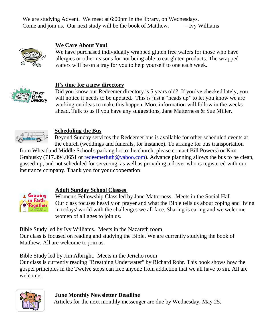We are studying Advent. We meet at 6:00pm in the library, on Wednesdays. Come and join us. Our next study will be the book of Matthew.  $-$  Ivy Williams



### **We Care About You!**

We have purchased individually wrapped gluten free wafers for those who have allergies or other reasons for not being able to eat gluten products. The wrapped wafers will be on a tray for you to help yourself to one each week.



### **It's time for a new directory**

Did you know our Redeemer directory is 5 years old? If you've checked lately, you will notice it needs to be updated. This is just a "heads up" to let you know we are working on ideas to make this happen. More information will follow in the weeks ahead. Talk to us if you have any suggestions, Jane Matterness & Sue Miller.



### **Scheduling the Bus**

Beyond Sunday services the Redeemer bus is available for other scheduled events at the church (weddings and funerals, for instance). To arrange for bus transportation

from Wheatland Middle School's parking lot to the church, please contact Bill Powers) or Kim Grabusky (717.394.0651 or [redeemerluth@yahoo.com\)](mailto:redeemerluth@yahoo.com). Advance planning allows the bus to be clean, gassed-up, and not scheduled for servicing, as well as providing a driver who is registered with our insurance company. Thank you for your cooperation.



### **Adult Sunday School Classes**

Women's Fellowship Class led by Jane Matterness. Meets in the Social Hall Our class focuses heavily on prayer and what the Bible tells us about coping and living in todays' world with the challenges we all face. Sharing is caring and we welcome women of all ages to join us.

Bible Study led by Ivy Williams. Meets in the Nazareth room

Our class is focused on reading and studying the Bible. We are currently studying the book of Matthew. All are welcome to join us.

Bible Study led by Jim Albright. Meets in the Jericho room

Our class is currently reading "Breathing Underwater" by Richard Rohr. This book shows how the gospel principles in the Twelve steps can free anyone from addiction that we all have to sin. All are welcome.



### **June Monthly Newsletter Deadline**

Articles for the next monthly messenger are due by Wednesday, May 25.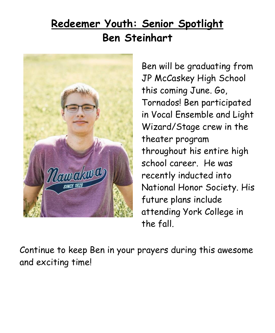# **Redeemer Youth: Senior Spotlight Ben Steinhart**



Ben will be graduating from JP McCaskey High School this coming June. Go, Tornados! Ben participated in Vocal Ensemble and Light Wizard/Stage crew in the theater program throughout his entire high school career. He was recently inducted into National Honor Society. His future plans include attending York College in the fall.

Continue to keep Ben in your prayers during this awesome and exciting time!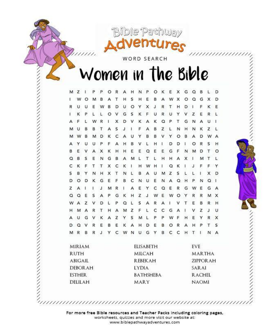**Bible Pathway** WORD SEARCH

Women in the Bible

アイアイアイアイ アイアイアイ アイアイアイ

シントリング ファイン・ファイン ファイン・ファイン

 $11111.$ 

EXAMPLA ANALY AND THE SAMPLA ANALY ANALY AND CONTRACT AND A CONTRACT AND A CONTRACT ON A CONTRACT ON A CONTRACT ON A CONTRACT ON A CONTRACT ON A CAPACT OF A CONTRACT ON A CAPACT OF A CONTRACT ON A CAPACT OF A CONTRACT ON A

For more free Bible resources and Teacher Packs including coloring pages, worksheets, quizzes and more visit our website at: www.biblepathwayadventures.com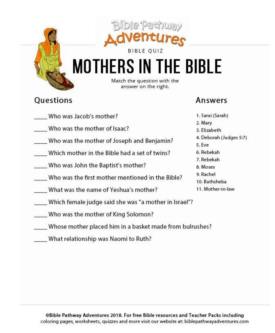

# **MOTHERS IN THE BIBLE**

Match the question with the answer on the right.

### **Ouestions**

### Answers

- Who was Jacob's mother?
- Who was the mother of Isaac?
- Who was the mother of Joseph and Benjamin?
- Which mother in the Bible had a set of twins?
- Who was John the Baptist's mother?
- Who was the first mother mentioned in the Bible?
- What was the name of Yeshua's mother?
- Which female judge said she was "a mother in Israel"?
- Who was the mother of King Solomon?
- Whose mother placed him in a basket made from bulrushes?
- What relationship was Naomi to Ruth?
- 1. Sarai (Sarah) 2. Mary 3. Elizabeth 4. Deborah (Judges 5:7) 5. Eve 6. Rebekah 7. Rebekah 8. Moses 9. Rachel
- 10. Bathsheba
- 11. Mother-in-law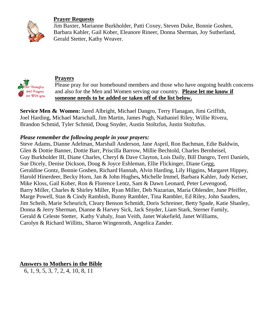### **Prayer Requests**



**Thoughts** and Prayers are With you Jim Baxter, Marianne Burkholder, Patti Coxey, Steven Duke, Bonnie Goshen, Barbara Kahler, Gail Kober, Eleanore Rineer, Donna Sherman, Joy Sutherland, Gerald Stetter, Kathy Weaver.

### **Prayers**



**Service Men & Women:** Jared Albright, Michael Dangro, Terry Flanagan, Jimi Griffith, Joel Harding, Michael Marschall, Jim Martin, James Pugh, Nathaniel Riley, Willie Rivera, Brandon Schmid, Tyler Schmid, Doug Snyder, Austin Stoltzfus, Justin Stoltzfus.

### *Please remember the following people in your prayers:*

Steve Adams, Dianne Adelman, Marshall Anderson, Jane Aspril, Ron Bachman, Edie Baldwin, Glen & Dottie Banner, Dottie Barr, Priscilla Barrow, Millie Bechtold, Charles Bernheisel, Guy Burkholder III, Diane Charles, Cheryl & Dave Clayton, Lois Daily, Bill Dangro, Terri Daniels, Sue Dicely, Denise Dickson, Doug & Joyce Eshleman, Ellie Flickinger, Diane Gegg, Geraldine Gontz, Bonnie Goshen, Richard Hannah, Alvin Harding, Lily Higgins, Margaret Hippey, Harold Hinerdeer, Becky Horn, Jan & John Hughes**,** Michelle Immel, Barbara Kahler, Judy Keiser, Mike Kloss, Gail Kober, Ron & Florence Lentz, Sam & Dawn Leonard, Peter Levengood, Barry Miller, Charles & Shirley Miller, Ryan Miller, Deb Nazarian, Maria Oblender, June Pfeiffer, Marge Powell, Stan & Cindy Rambish, Bunny Rambler, Tina Rambler, Ed Riley, John Sauders, Jim Scheib, Marie Scheurich, Cleary Benson Schmidt, Doris Schreiner, Betty Spade, Katie Shanley, Donna & Jerry Sherman, Dianne & Harvey Sick, Jack Snyder, Liam Stark, Sterner Family, Gerald & Celeste Stetter, Kathy Vahaly, Joan Veith, Janet Wakefield, Janet Williams, Carolyn & Richard Willitts, Sharon Wingenroth, Angelica Zander.

#### **Answers to Mothers in the Bible**

6, 1, 9, 5, 3, 7, 2, 4, 10, 8, 11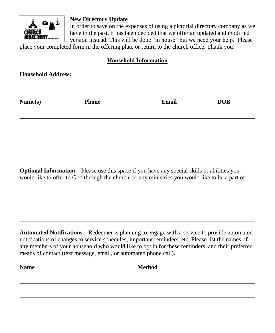

### **New Directory Update**

In order to save on the expenses of using a pictorial directory company as we have in the past, it has been decided that we offer an updated and modified version instead. This will be done "in house" but we need your help. Please

place your completed form in the offering plate or return to the church office. Thank you!

### **Household Information**

| Name(s) | <b>Phone</b> | <b>Email</b> | <b>DOB</b> |
|---------|--------------|--------------|------------|
|         |              |              |            |
|         |              |              |            |

**Optional Information –** Please use this space if you have any special skills or abilities you would like to offer to God through the church, or any ministries you would like to be a part of.

**Automated Notifications –** Redeemer is planning to engage with a service to provide automated notifications of changes to service schedules, important reminders, etc. Please list the names of any members of your household who would like to opt in for these reminders, and their preferred means of contact (text message, email, or automated phone call).

**Name Method**